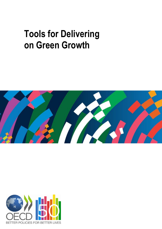# **Tools for Delivering on Green Growth**



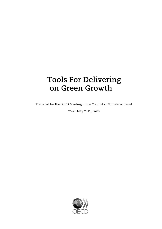## **Tools For Delivering** on Green Growth

Prepared for the OECD Meeting of the Council at Ministerial Level

25-26 May 2011, Paris

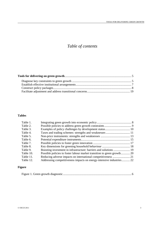### *Table of contents*

#### **Tables**

| Table 1.  |                                                                         |  |
|-----------|-------------------------------------------------------------------------|--|
| Table 2.  |                                                                         |  |
| Table 3.  |                                                                         |  |
| Table 4.  |                                                                         |  |
| Table 5.  |                                                                         |  |
| Table 6.  |                                                                         |  |
| Table 7.  |                                                                         |  |
| Table 8.  |                                                                         |  |
| Table 9.  |                                                                         |  |
| Table 10. | Possible policies to foster labour market transition to green growth 20 |  |
| Table 11. |                                                                         |  |
| Table 12. | Addressing competitiveness impacts on energy-intensive industries 22    |  |
|           |                                                                         |  |

#### **Figure**

|--|--|--|--|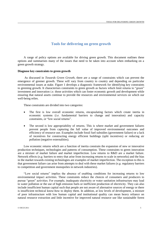#### **Tools for delivering on green growth**

A range of policy options are available for driving green growth. This document outlines these options and summarises many of the issues that need to be taken into account when embarking on a green growth strategy.

#### **Diagnose key constraints to green growth**

As discussed in *Towards Green Growth*, there are a range of constraints which can prevent the emergence of greener growth. These will vary from country to country and depending on particular environmental issues at stake. Figure 1 develops a diagnostic framework for identifying key constraints to greening growth. It characterises constraints to green growth as factors which limit returns to "green" investment and innovation *i.e.* those activities which can foster economic growth and development while ensuring that natural assets continue to provide the resources and environmental services on which our well-being relies.

These constraints are divided into two categories:

- The first is low overall economic returns, encapsulating factors which create inertia in economic systems (*i.e.* fundamental barriers to change and innovation) and capacity constraints, or "low social returns".
- The second is low appropriability of returns. This is where market and government failures prevent people from capturing the full value of improved environmental outcomes and efficiency of resource use. Examples include fossil fuel subsidies (government failure) or a lack of incentives for constructing energy efficient buildings (split incentives) or reducing air pollution (negative externalities).

Low economic returns which are a function of inertia constrain the expansion of new or innovative production techniques, technologies and patterns of consumption. These constraints to green innovation are a mixture of market failure and market imperfection. Low returns to R&D are a market failure. Network effects (*e.g.* barriers to entry that arise from increasing returns to scale in networks) and the bias in the market towards existing technologies are examples of market imperfection. The exception to this is that government failure can arise from attempts to deal with these market failures (*e.g.* regulatory barriers to competition and government monopolies in network industries).

"Low social returns" implies the absence of enabling conditions for increasing returns to low environmental impact activities. These constraints reduce the choices of consumers and producers to pursue "green" activities. For example, inadequate electricity or water sanitation infrastructure may lead to water pollution or the use of high emission fuels or inefficient production of electricity. They can also include insufficient human capital such that people are not aware of alternative sources of energy or there is insufficient technical know-how to deploy them. In addition, at low levels of development, a mixture of poor infrastructure with low human capital and institutional quality can mean heavy reliance on natural resource extraction and little incentive for improved natural resource use like sustainable forest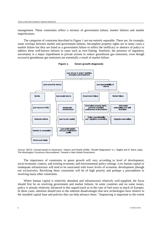management. These constraints reflect a mixture of government failure, market failures and market imperfections.

The categories of constraint described in Figure 1 are not entirely separable. There are, for example, some overlaps between market and government failures. Incomplete property rights are in many cases a market failure but they are listed as a government failure to reflect the inefficacy or absence of policy to address these well-known failures in cases such as over-fishing. Similarly, the presence of regulatory uncertainty is a major impediment to private actions to reduce greenhouse gas emissions, even though excessive greenhouse gas emissions are essentially a result of market failure.



**Figure 1. Green growth diagnostic**

*Source*: OECD, concept based on Hausmann, Velasco and Rodrik (2008), "Growth Diagnostics" in J. Stiglitz and N. Serra, (eds), *The Washington Consensus Reconsidered: Towards a New Global Governance*.

The importance of constraints to green growth will vary according to level of development, socio-economic context, and existing economic and environmental policy settings. Low human capital or inadequate infrastructure will tend to be associated with lower levels of economic development (though not exclusively). Rectifying these constraints will be of high priority and perhaps a precondition to resolving many other constraints.

Where human capital is relatively abundant and infrastructure relatively well-supplied, the focus should first be on resolving government and market failures. In some countries and on some issues, policy is already relatively advanced in this regard (such as in the case of fuel taxes in much of Europe). In these cases, attention should turn to the inherent disadvantages that new technologies have relative to the installed capital base and policies that can help advance these.<sup>1</sup> Sequencing is important to the extent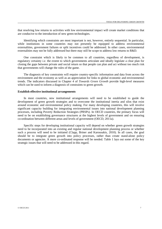that resolving low returns to activities with low environmental impact will create market conditions that are conducive to the introduction of new green technologies.

Identifying which constraints are most important is not, however, entirely sequential. In particular, while institutions in some countries may not presently be equipped to address environmental externalities, government failures or split incentives could be addressed. In other cases, environmental externalities may not be fully addressed but there may still be scope to address low returns to R&D.

One constraint which is likely to be common to all countries, regardless of development, is regulatory certainty *i.e.* the extent to which governments articulate and ideally legislate a clear plan for closing the gaps between private and social return so that people can plan and act without too much risk that governments will change the rules of the game.

The diagnosis of key constraints will require country-specific information and data from across the environment and the economy as well as an appreciation for links to global economic and environmental trends. The indicators discussed in Chapter 4 of *Towards Green Growth* provide high-level measures which can be used to inform a diagnosis of constraints to green growth.

#### **Establish effective institutional arrangements**

In most countries, new institutional arrangements will need to be established to guide the development of green growth strategies and to overcome the institutional inertia and silos that exist around economic and environmental policy making. For many developing countries, this will involve significant capacity building for integrating environmental issues into national development planning processes, including Poverty Reduction Strategies (PRSPs). In OECD countries, the primary focus will need to be on establishing governance structures at the highest levels of government and on ensuring co-ordination between different areas and levels of government (OECD, 2011a).

Specific steps for developing institutional capacity will depend on whether green growth strategies need to be incorporated into an existing and regular national development planning process or whether such a process will need to be initiated (Clapp, Briner and Karousakis, 2010). In all cases, the goal should be to integrate green growth into policy processes, rather than create stand-alone policy documents or agencies. A more co-ordinated response will be needed. Table 1 lays out some of the key strategic issues that will need to be addressed in this regard.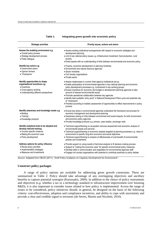| <b>Strategic priorities</b>                                                                                                                                   | Priority issues, actions and actors                                                                                                                                                                                                                                                                                                                                                                                                                                                                                                                                                                                                                                    |
|---------------------------------------------------------------------------------------------------------------------------------------------------------------|------------------------------------------------------------------------------------------------------------------------------------------------------------------------------------------------------------------------------------------------------------------------------------------------------------------------------------------------------------------------------------------------------------------------------------------------------------------------------------------------------------------------------------------------------------------------------------------------------------------------------------------------------------------------|
| Assess the enabling environment e.g.<br>• Overall policy process<br>• Strategy development process<br>· Public dialogue                                       | • Assess existing institutional arrangements with respect to economic strategies and<br>development planning<br>• Link to key national policy issues e.g. infrastructure investment, food production, rural<br>poverty<br>• Enlist experts with an understanding of links between environmental and economic policy                                                                                                                                                                                                                                                                                                                                                    |
| Identify key actors e.g.<br>• Government actors<br>• Opinion formers<br>• "Champions"                                                                         | · Finance, economic development or planning ministries<br>• Environment and natural resource agencies<br>• Sector ministries<br>• Civil society organisations<br>• Private sector                                                                                                                                                                                                                                                                                                                                                                                                                                                                                      |
| Identify opportunities to shape<br>organisational incentives e.g.<br>• Incentives<br>• Cross-agency working<br>• Understanding different perspectives         | • Assess weaknesses in current (inter-agency) institutional set-up<br>• Enable participation of environmental agencies in key national planning and economic<br>policy development processes e.g. involvement in key working groups<br>• Ensure incentives for economic and budget or development planning agencies to take<br>account of relevant environmental issues<br>• Promote operational collaboration between key agencies<br>· Identify best available "entry point" in National Development Plans cycle and potential role<br>of "champions"<br>• Prioritise according to realistic assessment of opportunities to effect improvements in policy<br>process |
| Identify awareness and knowledge needs e.g.<br>• Briefing<br>$\bullet$ Training<br>• Knowledge products                                                       | • Ensure key actors in environmental agencies understand the framework and process for<br>economic management and development planning<br>• Awareness raising on links between environment and social impacts, for both environment<br>and economic policy agencies<br>· Provide knowledge products e.g. primers, case studies, exchange visits                                                                                                                                                                                                                                                                                                                        |
| Identify analytical tools to be adopted and<br>develop relevant training<br>· Country-specific evidence<br>• Making the economic case<br>• Policy development | · Technical support/training on ecosystem services assessment and economic analysis of<br>environmental assets and services<br>· Technical support/training to economic analysis targeted at planning processes e.g. value of<br>environment to specific long-term economic and social objectives<br>• Technical support/training to analysis of effectiveness of cost-benefit of environmental<br>policies and investments                                                                                                                                                                                                                                            |
| Address options for policy influence<br>• Revise policy priorities<br>· Implementation strategies<br>• Measures and investments                               | • Provide support on using results of technical analysis to fit decision-making process<br>• Support to "making the economic case" for specific environmental policy measures<br>. Develop skills in communication and negotiation for environmental agencies staff<br>• Engage civil society organisations with potential to contribute positively to policy debate                                                                                                                                                                                                                                                                                                   |

#### **Table 1. Integrating green growth into economic policy**

*Source:* Adapted from OECD (2011), "Draft Policy Guidance on Capacity Development for Environment".

#### **Construct policy packages**

A range of policy options are available for addressing green growth constraints. These are summarised in Table 2. Policy should take advantage of any overlapping objectives and ancillary benefits to capture potential synergies (Karousakis, 2009). In addition to the choice of policy instruments and objectives (*e.g.* whether a tax or a technology standard or infrastructure improvement over boosting R&D), it is also important to consider issues related to how policy is implemented. Across the range of issues to be considered, policy initiatives should, in general, be designed on the basis of the following criteria: cost-effectiveness, adoption and compliance incentives, and ability to cope with uncertainty and provide a clear and credible signal to investors (de Serres, Murtin and Nicoletti, 2010).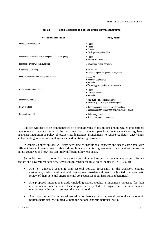| Green growth constraints                                    | <b>Policy options</b>                                                                                     |
|-------------------------------------------------------------|-----------------------------------------------------------------------------------------------------------|
| Inadequate infrastructure                                   | $\bullet$ Taxes<br>$\bullet$ Tariffs<br>• Transfers<br>· Public-private partnerships                      |
| Low human and social capital and poor institutional quality | $\bullet$ Taxes<br>• Subsidy reform/removal                                                               |
| Incomplete property rights, subsidies                       | • Review and reform or remove                                                                             |
| Regulatory uncertainty                                      | • Set targets<br>• Create independent governance systems                                                  |
| Information externalities and split incentives              | • Labelling<br>• Voluntary approaches<br>• Subsidies<br>• Technology and performance standards            |
| Environmental externalities                                 | $\bullet$ Taxes<br>• Tradable permits<br>• Subsidies                                                      |
| Low returns on R&D                                          | • R&D subsidies and tax incentives<br>• Focus on general-purpose technologies                             |
| Network effects                                             | • Strengthen competition in network industries<br>• Subsidies or loan quarantees for new network projects |
| Barriers to competition                                     | • Reform regulation<br>• Reduce government monopoly                                                       |

#### **Table 2. Possible policies to address green growth constraints**

Policies will need to be complemented by a strengthening of institutions and integrated into national development strategies. Some of the key dimensions include: operational independence of regulatory agencies; integration of policy objectives into legislative arrangements to reduce regulatory uncertainty; stable funding to environmental agencies; and multilevel governance.

In general, policy options will vary according to institutional capacity and needs associated with different levels of development. Table 3 shows how constraints to green growth can manifest themselves across countries and how this can imply different policy responses.

Strategies need to account for how these constraints and respective policies cut across different sectors and government agencies. Key issues to consider in this regard include (OECD, 2008):

- Are key domestic economic and sectoral policies (especially in the transport, energy, agriculture, trade, investment, and development assistance domains) subjected to a systematic review of their potential environmental consequences (both harmful and beneficial)?
- Are proposed international trade (including export credits) arrangements screened for their environmental impacts; where these impacts are expected to be significant, is a more detailed environmental impact assessment then carried out?
- Are opportunities for improved co-ordination between environmental, sectoral and economic policies periodically explored, at both the national and sub-national levels?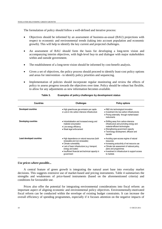The formulation of policy should follow a well-defined and iterative process:

- Objectives should be informed by an assessment of business-as-usual (BAU) projections with respect to economic and environmental trends (taking into account population and economic growth). This will help to identify the key current and projected challenges.
- An assessment of BAU should form the basis for developing a long-term vision and accompanying interim objectives, with high-level buy-in and dialogue with major stakeholders within and outside government.
- The establishment of a long-term vision should be informed by cost-benefit analysis.
- Given a set of objectives, the policy process should proceed to identify least-cost policy options and areas for intervention - to identify policy priorities and sequencing.
- Implementation of policies should incorporate regular monitoring and review the effects of policy to assess progress towards the objectives over time. Policy should be robust but flexible, to allow for any adjustments as new information becomes available.

| <b>Countries</b>            | <b>Challenges</b>                                                                                                                                                                                                                                   | <b>Policy options</b>                                                                                                                                                                                                                             |
|-----------------------------|-----------------------------------------------------------------------------------------------------------------------------------------------------------------------------------------------------------------------------------------------------|---------------------------------------------------------------------------------------------------------------------------------------------------------------------------------------------------------------------------------------------------|
| <b>Developed countries</b>  | • High greenhouse gas emission per capita<br>• Lock-in into carbon intensive infrastructure                                                                                                                                                         | • R&D into technological innovation<br>• Investment into low-carbon infrastructures<br>• Pricing externality through market-based<br>instruments                                                                                                  |
| <b>Developing countries</b> | • Industrialisation and increased energy and<br>material consumption<br>• Low energy efficiency<br>• Weak legal enforcement                                                                                                                         | • Shifting away from carbon-intensive<br>infrastructure and promoting energy and<br>material-efficient technologies<br>• Strengthening government capacity<br>· Technology development, diffusion and<br>transfer                                 |
| Least developed countries   | • High dependence on natural resources (both<br>renewable and non-renewable)<br>• Climate vulnerability<br>• Lack of basic infrastructure (e.g. transport,<br>energy and water)<br>• Insufficient financial and technical capacity in<br>government | • Avoiding open-access regime of natural<br>resources<br>• Increasing productivity of net resource use<br>• Climate risk assessment of national policy,<br>plans and programmes<br>• Investment in infrastructure to support access<br>to markets |

#### **Table 3. Examples of policy challenges by development status**

#### *Use prices where possible...*

A central feature of green growth is integrating the natural asset base into everyday market decisions. This suggests extensive use of market-based and pricing instruments. Table 4 summarises the strengths and weaknesses of price-based instruments (based on the aforementioned criteria) and conditions for favourable use.

Prices also offer the potential for integrating environmental considerations into fiscal reform: an important aspect of aligning economic and environmental policy objectives. Environmentally-motivated fiscal reform can be conducted within the envelope of existing budget constraints. It can increase the overall efficiency of spending programmes, especially if it focuses attention on the negative impacts of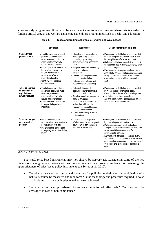some subsidy programmes. It can also be an efficient new source of revenue where this is needed for funding critical growth and welfare-enhancing expenditure programmes, such as health and education.

|                                                                                     | <b>Strengths</b>                                                                                                                                                                                                                                                                                                                                     | Weaknesses                                                                                                                                                                                                                                                                                                                                   | Conditions for favourable use                                                                                                                                                                                                                                                                                                                                                                                                                                                 |
|-------------------------------------------------------------------------------------|------------------------------------------------------------------------------------------------------------------------------------------------------------------------------------------------------------------------------------------------------------------------------------------------------------------------------------------------------|----------------------------------------------------------------------------------------------------------------------------------------------------------------------------------------------------------------------------------------------------------------------------------------------------------------------------------------------|-------------------------------------------------------------------------------------------------------------------------------------------------------------------------------------------------------------------------------------------------------------------------------------------------------------------------------------------------------------------------------------------------------------------------------------------------------------------------------|
| Cap-and-trade<br>permit systems                                                     | • Tend toward equalisation of<br>pollution abatement costs, can<br>raise revenues, continuous<br>incentives to innovate to<br>reduce abatement costs<br>• Once in place will be defended<br>by stakeholders and provide<br>natural mechanism for<br>financial transfers in<br>international context<br>• Certainty over pollution<br>emission levels | • Steep learning curve, strong<br>learning-by-using effects,<br>potentially high start-up<br>administrative and transaction<br>costs<br>• Adoption incentives lowered by<br>costs to producers /<br>consumers<br>• Concerns of competitiveness<br>and income distribution<br>• Potential price volatility and<br>frequent adjustments to cap | • Public-good market failure is not dominated<br>by monitoring and information costs. Cross-<br>border spill-over effects are important.<br>• Sufficient institutional capacity (experience)<br>and potential size of market sufficiently large<br>to function properly.<br>• Environmental damage depends on overall<br>amount of a pollutant, not specific location or<br>timing of emission sources. Precise control<br>over emissions is available at reasonable<br>cost. |
| Taxes or charges<br>on pollution or<br>exploitation of<br>natural resource          | • Tends to equalise pollution<br>abatement costs, can raise<br>revenues, continuous<br>incentives to innovate to<br>reduce abatement costs<br>• Implementation can be done<br>through existing national<br>institutions                                                                                                                              | • Potentially high monitoring<br>costs, uncertainty about level<br>of pollution emissions<br>• Adoption incentives lowered by<br>costs to producers /<br>consumers which are more<br>visible than with permits<br>• Concerns of competitiveness<br>and income distribution<br>• Lower predictability of future<br>policy adjustments         | • Public-good market failure is not dominated<br>by monitoring and information costs.<br>Cross border spill-over effects are important.<br>· Insufficient capacity or scope for a<br>cap and trade system. Baselines can be set<br>and verified at reasonable cost.                                                                                                                                                                                                           |
| Taxes or charges<br>on a proxy for<br>pollution<br>Source: De Serres et al. (2010). | • Lower monitoring and<br>administrative costs (relative to<br>permits or direct taxes)<br>· Implementation can be done<br>through adjustment to existing<br>taxes                                                                                                                                                                                   | • Loss of static and dynamic<br>efficiency relative to charges at<br>source, which can be large in<br>the case of distant proxy                                                                                                                                                                                                              | . Public-good market failure is not dominated<br>by monitoring and information costs<br>• Pollution sources are small and diffuse.<br>Temporary deviations in emission levels from<br>target have little consequences for<br>environmental damage<br>· Environmental damage depends on overall<br>amount of a pollutant, not on specific location<br>or timing of emission sources. Precise control<br>over emissions is available at reasonable<br>cost.                     |

| Table 4. | Taxes and trading schemes: strengths and weaknesses |  |
|----------|-----------------------------------------------------|--|
|----------|-----------------------------------------------------|--|

That said, price-based instruments may not always be appropriate. Considering some of the key dimensions along which price-based instruments operate can provide guidance for assessing the appropriateness of price-based policy instruments (de Serres *et al.,* 2010):

- To what extent can the source and quantity of a pollution emission or the exploitation of a natural resource be measured and monitored? Is the technology and procedure required to do so available and can they be implemented at reasonable cost?
- To what extent can price-based instruments be enforced effectively? Can sanctions be envisaged in case of non-compliance?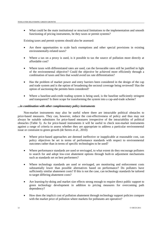What could be the main institutional or structural limitations to the implementation and smooth functioning of pricing instruments, be they taxes or permit systems?

Existing taxes and permit systems should also be assessed:

- Are there opportunities to scale back exemptions and other special provisions in existing environmentally-related taxes?
- Where a tax on a proxy is used, is it possible to tax the source of pollution more directly at affordable cost?
- Where taxes with differentiated rates are used, can the favourable rates still be justified in light of the environmental objective? Could the objective be achieved more efficiently through a combination of taxes and fees that would avoid tax rate differentiation?
- Has the problem of market power and entry barriers been considered in the design of the cap and trade system and is the option of broadening the sectoral coverage being reviewed? Has the option of auctioning the permits been considered?
- Where a baseline-and-credit trading system is being used, is the baseline sufficiently stringent and transparent? Is there scope for transforming the system into a cap-and-trade scheme?

#### *...in combination with other complementary policy instruments*

Non-market instruments may also be useful where there are intractable political obstacles to price-based measures. They can, however, reduce the cost-effectiveness of policy and thus may not always be suitable substitutes for price-based measures irrespective of the intractability of political obstacles (Table 5). As for price-based instruments it will be useful to check non-market instruments against a range of criteria to assess whether they are appropriate to address a particular environmental issue or constraint to green growth (de Serres *et al.,* 2010):

- Where price-based approaches are deemed ineffective or inapplicable at reasonable cost, can policy objectives be set in terms of performance standards with respect to environmental outcomes rather than in terms of specific technologies to be used?
- Where performance standards are used or envisaged, to what extent do they encourage polluters to search for and adopt low-cost abatement options through built-in adjustment mechanisms such as standards set on best performers?
- Where technology standards are used or envisaged, are monitoring and enforcement costs substantially lower than possible alternatives based on performance? Do polluters have sufficiently similar abatement costs? If this is not the case, can technology standards be tailored to target differing abatement costs?
- Are learning-by-doing and market size effects strong enough to require direct public support to green technology development in addition to pricing measures for overcoming path dependency?
- How does the implicit cost of pollution abatement through technology support policies compare with the market price of pollution where markets for pollutants are operative?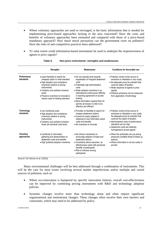- Where voluntary approaches are used or envisaged, is the basic information that is needed for implementing price-based approaches lacking in the area concerned? Have the costs and benefits of voluntary approaches been estimated and compared with those of a price-based mandatory approach? How much moral persuasion can the government exert on polluters? Have the risks of anti-competitive practices been addressed?
- To what extent could information-based instruments be used to underpin the responsiveness of agents to price signals?

|                          | <b>Strengths</b>                                                                                                                                                                                                                                                                        | Weaknesses                                                                                                                                                                                                                                                                                                                                                      | Conditions for favourable use                                                                                                                                                                                                                                                                 |
|--------------------------|-----------------------------------------------------------------------------------------------------------------------------------------------------------------------------------------------------------------------------------------------------------------------------------------|-----------------------------------------------------------------------------------------------------------------------------------------------------------------------------------------------------------------------------------------------------------------------------------------------------------------------------------------------------------------|-----------------------------------------------------------------------------------------------------------------------------------------------------------------------------------------------------------------------------------------------------------------------------------------------|
| Performance<br>standards | • Leave flexibility to search for<br>cheapest option to meet standard<br>• High adoption and compliance<br>incentives (relative to pricing<br>instruments)<br>• Certainty over pollution emission<br>levels<br>• Preserve incentives to innovate to<br>reduce costs of meeting standard | • Do not naturally tend towards<br>equalisation of marginal abatement<br>costs<br>• Potentially high administrative<br>costs<br>• Weak adoption incentives in an<br>international context given difficulty<br>in reaching agreement on burden<br>sharing<br>• More information required than for<br>permits and taxes in order to be<br>effective and efficient | • Pollution control at the source of<br>emissions is infeasible or very costly<br>• No adequate proxy for pollutant that<br>could be object of taxation<br>• Weak response of agents to price<br>signals<br>• Pollution emissions can be measured<br>from application of technology           |
| Technology<br>standards  | • Low monitoring costs<br>· High adoption and compliance<br>incentives (relative to pricing<br>instruments)<br>• Certainty over pollution emission<br>levels (at individual units level)                                                                                                | • Provides no flexibility to search for<br>cheaper abatement options<br>• Cannot be easily adapted in<br>response to new information about<br>costs and benefits<br>• No incentives to innovate                                                                                                                                                                 | • Pollution control at the source of<br>emissions is infeasible or very costly<br>No adequate proxy for pollutant that<br>could be the object of taxation<br>• Administrative costs of performance<br>standards are too high<br>• Abatement costs are relatively<br>homogeneous across agents |
| Voluntary<br>approaches  | • Contribute to information<br>gathering and dissemination on<br>abatement costs and benefits<br>• High (political) adoption incentives                                                                                                                                                 | $\bullet$ No intrinsic mechanism to<br>encourage adoption of least-cost<br>abatement options<br>• Uncertainty about outcomes as<br>effectiveness varies with perceived<br>benefits of participants<br>• Risk of collusion among<br>participants                                                                                                                 | • When the authorities can put strong<br>pressures (credible threat of follow up<br>actions)<br>• Where information is not too costly to<br>provide                                                                                                                                           |

| Non-price instruments: strengths and weaknesses<br>Table 5. |  |
|-------------------------------------------------------------|--|
|-------------------------------------------------------------|--|

*Source*: De Serres *et al.* (2010).

Many environmental challenges will be best addressed through a combination of instruments. This will be the case for most issues involving several market imperfections and/or multiple and varied sources of pollution, such as:

- Where eco-innovation is hampered by specific innovation failures, overall cost-effectiveness can be improved by combining pricing instruments with R&D and technology adoption policies.
- Systemic changes involve more than technology alone and often require significant organisational and institutional changes. These changes often involve their own barriers and constraints, which may need to be addressed by policy.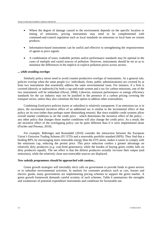- Where the degree of damage caused to the environment depends on the specific location or timing of emissions, pricing instruments may need to be complemented with command-and-control regulation such as local standards on emissions or local bans on certain products.
- Information-based instruments can be useful and effective in strengthening the responsiveness of agents to price signals.
- A combination of taxes, tradeable permits and/or performance standards may be optimal in the cases of multiple and varied sources of pollution. However, instruments should be set so as to minimise the differences in the implicit or explicit pollution prices across sectors.

#### *... while avoiding overlaps*

Similarly policy mixes need to avoid counter-productive overlaps of instruments. As a general rule, policies overlap when the same people (*i.e*. individuals, firms, public administrations) are covered by at least two instruments that essentially address the same environmental issue. For instance, if a firm is covered (directly or indirectly) by both a cap-and-trade system and a tax for carbon emissions, one of the two instruments will be redundant (Duval, 2008). Likewise, emission performance or energy efficiency standards for the car industry may not be justified in the presence of a carbon pricing covering the transport sector, unless they also constitute the best option to address other externalities.

Combining fixed-price policies (taxes or subsidies) is relatively transparent: if an emissions tax is in place, the incremental incentive effect of an additional tax is similar to the incremental effect of that policy on its own (other than perhaps some diminishing returns). But since tradable credit systems allow overall market conditions to set the credit price – which determines the incentive effect of the policy – any other policy that changes those market conditions will also change the credit price. As a result, the net incentive effect of the overlapping policy can be quite different than if it were implemented alone (Fischer and Preonas, 2010).

For example, Böhringer and Rosendahl (2010) consider the interaction between the European Union's Emission Trading Scheme (EU ETS) and a renewable portfolio standard (RPS). They find that a binding RPS, by encouraging more renewable energy than the ETS alone, makes it easier to comply with the emissions cap, reducing the permit price. This price reduction confers a greater advantage on relatively dirty producers (*e.g.* coal-fired generators), while the burden of buying green credits falls on dirty producers equally. The net effect is that the dirtiest producers actually *increase* their output (and emissions), while the relatively clean non-renewable sources are displaced.

#### *New subsidy programmes should be approached with caution...*

Green growth strategies will inevitably elicit calls on government to provide funds to green sectors or to subsidise environmental activities. In markets for consumer products such as cars, houses and electric goods, many governments are implementing pricing schemes to support the green market. A green growth framework demands careful scrutiny of such schemes. Table 6 summarises the strengths and weaknesses of potential expenditure instruments and conditions for favourable use.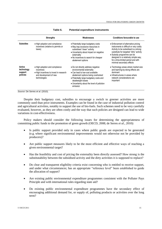|                                             | <b>Strengths</b>                                                                                                                  | Weaknesses                                                                                                                                                                                                                                                          | Conditions favourable to use                                                                                                                                                                                                                                                                                  |
|---------------------------------------------|-----------------------------------------------------------------------------------------------------------------------------------|---------------------------------------------------------------------------------------------------------------------------------------------------------------------------------------------------------------------------------------------------------------------|---------------------------------------------------------------------------------------------------------------------------------------------------------------------------------------------------------------------------------------------------------------------------------------------------------------|
| <b>Subsidies</b>                            | • High adoption and compliance<br>incentives (relative to permits or<br>taxes)                                                    | • Potentially large budgetary costs<br>• May trap excessive resources in<br>subsidised "clean" activity<br>• Uncertainty about impact on negative<br>externality<br>• No incentives to search for cheaper<br>abatement options                                      | • Enforcement of alternative pricing<br>instruments is difficult or very costly<br>Activity to be subsidised is a strong<br>substitute for targeted "dirty" activity<br>• Subsidy programme can be<br>designed in a relatively simple way.<br>for a time-limited period and with<br>minimal secondary effects |
| Active<br>technology<br>support<br>policies | • High adoption and compliance<br>incentives<br>• High incentives to invest in research<br>and development of new<br>technologies | • Do not directly address negative<br>environmental externality<br>• Can lead to low-cost available<br>abatement options being overlooked<br>• Potentially large budgetary costs and<br>deadweight losses<br>• Uncertainty about the level of pollution<br>emission | • Technology areas where market size<br>and learning-by-doing effects are<br>dominant<br>• Infrastructures in areas where<br>network considerations are<br>important                                                                                                                                          |

*Source*: De Serres *et al.* (2010).

Despite their budgetary cost, subsidies to encourage a switch to greener activities are more commonly used than price instruments. Examples can be found in the case of industrial pollution control and agricultural activities, notably to support the use of bio-fuels. Such schemes need to be very carefully evaluated, however, as they are often costly and the way that such policies are designed can lead to wide variations in cost-effectiveness.

Policy makers should consider the following issues for determining the appropriateness of committing public funds to the promotion of green growth (OECD, 2008; de Serres *et al.,* 2010):

- Is public support provided only in cases where public goods are expected to be generated (e.g. where significant environmental improvements would not otherwise not be provided by producers)?
- Are public support measures likely to be the most efficient and effective ways of reaching a given environmental target?
- Has the feasibility and cost of pricing the externality been directly assessed? How strong is the substitutability between the subsidised activity and the dirty activities it is supposed to replace?
- Do clear and transparent eligibility criteria exist concerning who is entitled to receive support, and under what circumstances; has an appropriate "reference level" been established to guide the allocation of support?
- Are existing public environmental expenditure programmes consistent with the Polluter Pays Principle and with international rules regarding state aid?
- Do existing public environmental expenditure programmes have the secondary effect of encouraging additional demand for, or supply of, polluting products or activities over the long term?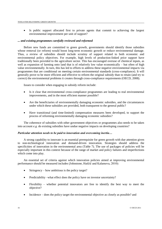Is public support allocated first to private agents that commit to achieving the largest environmental improvement per unit of support?

#### *... and existing programmes carefully reviewed and reformed*

Before new funds are committed to green growth, governments should identify those subsidies whose removal (or reform) would boost long-term economic growth or reduce environmental damage. Thus, a review of subsidies should include scrutiny of support related to both economic and environmental policy objectives. For example, high levels of production-linked price support have traditionally been provided to the agriculture sector. This has encouraged overuse of chemical inputs, as well as expansion of farming onto land that is of relatively low value economically – but often of high value environmentally. In turn, this has led to efforts to address these negative environmental impacts via programmes that are conditional on meeting certain environmental standards (cross-compliance). It will generally prove to be more efficient and effective to reform the original subsidy than to retain (and try to correct) the environmental problems it creates through cross-compliance requirements (OECD, 2008).

Issues to consider when engaging in subsidy reform include:

- Is it clear that environmental cross-compliance programmes are leading to real environmental improvements, and in the most efficient manner possible?
- Are the beneficiaries of environmentally damaging economic subsidies, and the circumstances under which these subsidies are provided, both transparent to the general public?
- Have transitional (and time-limited) compensation measures been developed, to support the process of reforming environmentally damaging economic subsidies?

The coherence of subsidies with other government objectives or programmes also needs to be taken into account *e.g.* do existing subsidies have undue negative impacts on developing countries?

#### *Particular attention needs to be paid to innovation and overcoming inertia…*

A strong capability to innovate is an essential prerequisite for green growth with due attention given to non-technological innovation and demand-driven innovation. Strategies should address the specificities of innovation in the environmental area (Table 7). The use of packages of policies will be especially important in this context because of the range of market and policy failures and imperfections which come into play.

An essential set of criteria against which innovation policies aimed at improving environmental performance should be measured includes (Johnstone, Haščič and Kalamova, 2010):

- Stringency how ambitious is the policy target?
- Predictability –what effect does the policy have on investor uncertainty?
- Flexibility whether potential innovators are free to identify the best way to meet the objective?
- Incidence does the policy target the environmental objective as closely as possible? and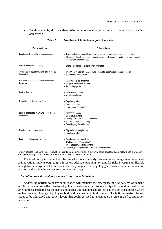• Depth – that is, do incentives exist to innovate through a range of potentially ascending objectives?

| Policy challenge                                           | <b>Policy options</b>                                                                                                                                                                                         |  |  |  |
|------------------------------------------------------------|---------------------------------------------------------------------------------------------------------------------------------------------------------------------------------------------------------------|--|--|--|
| Insufficient demand for green innovation                   | • Taxes and market-based instruments to price externalities and enhance incentives<br>• Demand-side policies, such as public procurement, standards and regulations, in specific<br>markets and circumstances |  |  |  |
| Lack of innovation capability                              | • Broad-based policies to strengthen innovation                                                                                                                                                               |  |  |  |
| Technological roadblocks and lack of radical<br>innovation | • Investment in relevant R&D, including thematic and mission-oriented research<br>• International cooperation                                                                                                 |  |  |  |
| Research and investment bias to incumbent<br>technology    | • R&D support, tax incentives<br>• Adoption incentives/subsidies<br>• Technology prizes                                                                                                                       |  |  |  |
| Lack of finance                                            | • Co-investment funds<br>• Market development                                                                                                                                                                 |  |  |  |
| Regulatory barriers to new firms                           | • Regulatory reform<br>• Competition policy<br>• Front-runner approaches                                                                                                                                      |  |  |  |
| Lack of capabilities in SME to adopt green<br>innovation   | • Access to finance<br>• Skills development<br>• Linking SMEs to knowledge networks<br>• Improving information supply<br>• Reducing regulatory burdens                                                        |  |  |  |
| Non-technological innovation                               | • City and transport planning<br>• Regulatory reform                                                                                                                                                          |  |  |  |
| International technology transfer<br>والممه اممائمهمام     | · Development of capabilities<br>• Trade and investment policies<br>• IPR protection and enforcement<br>• Voluntary patent pools and collaborative mechanisms                                                 |  |  |  |

#### **Table 7. Possible policies to foster green innovation**

Note: A detailed toolbox to foster innovation, including green innovation, is currently being developed as a follow-up to the OECD Innovation Strategy. This Innovation Policy Platform will be released in 2012.

The ideal policy instrument will be one which is sufficiently stringent to encourage an optimal level of innovation; stable enough to give investors adequate planning horizons for risky investments; flexible enough to encourage novel solutions; and closely targeted on the policy goal, so as to avoid misallocation of effort and provide incentives for continuous change.

#### *…including ways for enabling change in consumer behaviour*

Addressing barriers to behavioural change will facilitate the emergence of new patterns of demand and increase the cost-effectiveness of policy signals aimed at producers. Special attention needs to be given to these barriers because habits and norms can lock households into patterns of consumption which are hard to alter. A range of policy tools should be considered in this regard. Table 8 summarises the key issues to be addressed and policy levers that could be used to encourage the greening of consumption behaviour.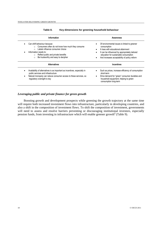| Information                                                                                                                                                                                                                                                             | Awareness                                                                                                                                                                                                                                                                |  |  |
|-------------------------------------------------------------------------------------------------------------------------------------------------------------------------------------------------------------------------------------------------------------------------|--------------------------------------------------------------------------------------------------------------------------------------------------------------------------------------------------------------------------------------------------------------------------|--|--|
| Can shift behaviour because<br>Consumers often do not know how much they consume<br>$\circ$<br>Labels influence consumer choice<br>$\circ$<br>Information needs to:<br>Reflect public and private benefits<br>$\circ$<br>Be trustworthy and easy to decipher<br>$\circ$ | Of environmental issues is linked to greener<br>consumption<br>It rises with educational attainment<br>$\bullet$<br>It can be influenced by appropriately tailored<br>education for sustainable consumption<br>And increases acceptability of policy reform<br>$\bullet$ |  |  |
| <b>Alternatives</b>                                                                                                                                                                                                                                                     | <b>Incentives</b>                                                                                                                                                                                                                                                        |  |  |
| Availability of alternatives is as important as incentives, especially in<br>public services and infrastructure<br>Natural monopoly can reduce consumer access to these services, so<br>regulatory oversight is key                                                     | Such as prices, increase efficiency of consumption<br>short-term<br>Drive demand for "green" consumer durables and<br>$\bullet$<br>household equipment, helping to green<br>consumption long-term                                                                        |  |  |

#### **Table 8. Key dimensions for greening household behaviour**

#### *Leveraging public and private finance for green growth*

Boosting growth and development prospects while greening the growth trajectory at the same time will require both increased investment flows into infrastructure, particularly in developing countries, and also a shift in the composition of investment flows. To shift the composition of investment, governments will need to assess and resolve barriers preventing or discouraging institutional investors, especially pension funds, from investing in infrastructure which will enable greener growth<sup>2</sup> (Table 9).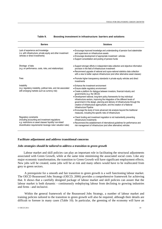| <b>Barriers</b>                                                                                                                                                                                            | <b>Solutions</b>                                                                                                                                                                                                                                                                                                                                                                                                                                                                                                                                                                                                                                                                        |  |  |  |
|------------------------------------------------------------------------------------------------------------------------------------------------------------------------------------------------------------|-----------------------------------------------------------------------------------------------------------------------------------------------------------------------------------------------------------------------------------------------------------------------------------------------------------------------------------------------------------------------------------------------------------------------------------------------------------------------------------------------------------------------------------------------------------------------------------------------------------------------------------------------------------------------------------------|--|--|--|
| Lack of experience and knowledge<br>( <i>i.e.</i> with infrastructure, private equity and other investment<br>vehicles or direct investments)                                                              | • Encourage improved knowledge and understanding of pension fund stakeholder<br>and supervisors on infrastructure assets<br>• Encourage development of appropriate investment vehicles<br>• Support consolidation and pooling of pension funds                                                                                                                                                                                                                                                                                                                                                                                                                                          |  |  |  |
| Shortage of data<br>(e.g. on performance, costs, risks, and relationships)                                                                                                                                 | • Support stronger efforts in independent data collection and objective information<br>provision in the field of infrastructure investment<br>• Recommend upgrade of national and supra-national statistics data collection<br>with a view to better capture infrastructure (and other alternative asset classes)                                                                                                                                                                                                                                                                                                                                                                       |  |  |  |
| Fees                                                                                                                                                                                                       | • Promote higher transparency standards in private equity vehicles and direct<br>investments                                                                                                                                                                                                                                                                                                                                                                                                                                                                                                                                                                                            |  |  |  |
| Instability<br>(e.g. regulatory instability, political risks, and risk associated<br>with emerging markets such as currency risk)                                                                          | • Enhance the investment environment<br>• Ensure stable regulatory environment<br>• Create a platform for dialogue between investors, financial industry and<br>governments (e.g. the OECD)<br>· Development national, long-term policy frameworks for key individual<br>infrastructure sectors, improving the integration of the different levels of<br>government in the design, planning and delivery of infrastructures through the<br>creation of infrastructure agency/bank, and the creation of a National<br>Infrastructure Pipeline<br>• Encourage the study of more advanced risk analysis beyond the traditional<br>measures, including the specific risks of infrastructure |  |  |  |
| Regulatory constraints<br>(including accounting and investment regulations<br>e.g. restrictions on asset classes/ liquidity/ non-listed/<br>diversification requirements/ leverage rules/ valuation rules) | • Check funding and investment regulation is not inadvertently preventing<br>infrastructure investments<br>• Recommend the establishment of international guidelines for performance and<br>risk management of infrastructure (and other alternative) vehicles                                                                                                                                                                                                                                                                                                                                                                                                                          |  |  |  |

#### **Table 9. Boosting investment in infrastructure: barriers and solutions**

#### **Facilitate adjustment and address transitional concerns**

#### *Jobs strategies should be tailored to address a transition to green growth*

Labour market and skill policies can play an important role in facilitating the structural adjustments associated with Green Growth, while at the same time minimising the associated social costs. Like any major economic transformation, the transition to Green Growth will have significant employment effects. New jobs will be created, some jobs will be at risk and many others would have to be reallocated from grey to green sectors.

A prerequisite for a smooth and fair transition to green growth is a well functioning labour market. The OECD Reassessed Jobs Strategy (OECD, 2006) provides a comprehensive framework for achieving that. It shows that a carefully designed package of labour market and skill policies can assure that the labour market is both dynamic - continuously redeploying labour from declining to growing industries and firms - and inclusive.

Within the general framework of the Reassessed Jobs Strategy, a number of labour market and training policies tailored to the transition to green growth will also be required, although their details are difficult to foresee in many cases (Table 10). In particular, the greening of the economy will have an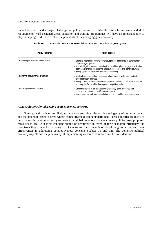#### TOOLS FOR DELIVERING GREEN GROWTH

impact on skills, and a major challenge for policy makers is to identify future hiring needs and skill requirements. Well-designed green education and training programmes will have an important role to play in helping workers to exploit the potentials of the emerging green economy.

| Policy challenge                     | <b>Policy options</b>                                                                                                                                                                                                                                                                                                             |
|--------------------------------------|-----------------------------------------------------------------------------------------------------------------------------------------------------------------------------------------------------------------------------------------------------------------------------------------------------------------------------------|
|                                      |                                                                                                                                                                                                                                                                                                                                   |
| Promoting an inclusive labour market | • Effective income and re-employment support for jobseekers, in particular for<br>disadvantaged groups<br>• Mutual obligation strategy, ensuring that benefit recipients engage in active job<br>search in exchange for receiving employment services and benefit payment<br>• Strong system of vocational education and training |
| Fostering labour market dynamism     | • Moderate employment protection and labour taxes to foster job creation in<br>emerging green activities<br>• Strong product market competition to promote the entry of new innovative firms<br>and reap the full benefits of new green competitive niches                                                                        |
| Adapting the workforce skills        | • Close monitoring of job skill requirements in key green industries and<br>occupations in order to identify new skill needs<br>• Incorporate new skill requirements into education and training programmes                                                                                                                       |

**Table 10. Possible policies to foster labour market transition to green growth**

#### *Assess solutions for addressing competitiveness concerns*

Green growth policies are likely to raise concerns about the relative stringency of domestic policy and the potential losses to firms whose competitiveness can be undermined. These concerns are likely to be strongest in relation to policy to protect the global commons such as climate policies. Any proposed measures to deal with these concerns should be scrutinised in terms of their economic efficiency, the incentives they create for reducing GHG emissions, their impacts on developing countries, and their effectiveness in addressing competitiveness concerns (Tables 11 and 12). The domestic political economy aspects and the practicality of implementing measures also need careful consideration.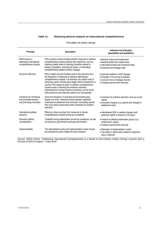#### **Table 11. Reducing adverse impacts on international competitiveness**

| Principle                                                                      | <b>Description</b>                                                                                                                                                                                                                                                                                                                                                                                                                                                                           | <b>Indicators for Evaluation</b><br>(quantitative and qualitative)                                                                                     |  |  |
|--------------------------------------------------------------------------------|----------------------------------------------------------------------------------------------------------------------------------------------------------------------------------------------------------------------------------------------------------------------------------------------------------------------------------------------------------------------------------------------------------------------------------------------------------------------------------------------|--------------------------------------------------------------------------------------------------------------------------------------------------------|--|--|
| Effectiveness in<br>addressing international<br>competitiveness impacts        | Policy makers should evaluate whether measures to address<br>competitiveness impacts achieve their objectives, such as<br>retaining market share of polluting industries relative to<br>foreign competitors, reducing job losses, or eliminating<br>competitiveness-related emission leakage.                                                                                                                                                                                                | • Sectoral output and employment<br>• Sectoral profits and market share<br>• International trade and investment flows<br>• Emissions and leakage rates |  |  |
| Economic efficiency                                                            | Policy makers should minimise costs to the economy from<br>the imposition of measures to address international<br>competitiveness impacts. For example, the overall costs of<br>achieving a given climate policy target will be increased for a<br>country if the measures taken to address competitiveness<br>impacts result in lowering the emissions reduction<br>requirements for energy-intensive industries, as this would<br>imply some low-cost reduction options are not exploited. | • Domestic welfare or GDP changes<br>• Changes in the pricing of pollution<br>· Cost per tonne of leakage reduced<br>• Foregone government revenues    |  |  |
| Incentives for minimising<br>environmental impacts<br>and promoting innovation | Given the stringency of proposed environmental policy<br>targets over time, measures should maintain significant<br>incentives for abatement and innovation. Exempting sectors<br>from such policy would reduce their incentives for pollution<br>reduction.                                                                                                                                                                                                                                 | • Incentives for pollution reduction (such as a price<br>signal)<br>• Innovation impacts (e.g. patents and changes in<br>abatement costs)              |  |  |
| International political<br>economy                                             | Effects on other countries from measures to reduce<br>competitiveness impacts should be considered.                                                                                                                                                                                                                                                                                                                                                                                          | • International GDP or welfare changes (with<br>particular regard to impacts on the poor)                                                              |  |  |
| Domestic political<br>considerations                                           | Tradeoffs among stakeholders should be considered, as well<br>as impacts on government revenues and transfers.                                                                                                                                                                                                                                                                                                                                                                               | • Impacts on affected stakeholder groups (e.g.<br>employment, output)<br>• Foregone government revenues                                                |  |  |
| Implementability                                                               | The administrative costs and implementation burden should<br>be evaluated by policy makers for each measure.                                                                                                                                                                                                                                                                                                                                                                                 | • Estimates of implementation burden<br>• The ability to obtain data needed to implement<br>policy measures                                            |  |  |

Principles for policy design

*Source:* OECD (2010), ""Addressing International Competitiveness in a World of Non-Uniform Carbon Pricing: Lessons from a Decade of OECD Analysis"", *Policy Brief*.

l,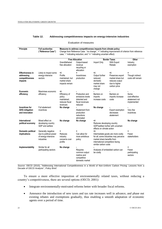#### **Table 12. Addressing competitiveness impacts on energy-intensive industries**

| Principle                                                 | <b>Full auction/tax</b><br>("Reference Case")               | Measures to address competitiveness impacts from climate policy:<br>Change from Reference Case: "no change", "+" indicating improvement of criterion from reference<br>case, "-" indicating reduction, and "+/-" indicating uncertain effect) |                                                                                   |                                                                                                                                                                       |                                                                                         |                                                        |  |
|-----------------------------------------------------------|-------------------------------------------------------------|-----------------------------------------------------------------------------------------------------------------------------------------------------------------------------------------------------------------------------------------------|-----------------------------------------------------------------------------------|-----------------------------------------------------------------------------------------------------------------------------------------------------------------------|-----------------------------------------------------------------------------------------|--------------------------------------------------------|--|
|                                                           |                                                             | <b>Free Allocation</b>                                                                                                                                                                                                                        |                                                                                   | <b>Border Taxes</b>                                                                                                                                                   |                                                                                         | Other                                                  |  |
|                                                           |                                                             | Grandfathered<br>free allocation                                                                                                                                                                                                              | Output-based<br>revenue<br>recycling or<br>allocation                             | Import Only                                                                                                                                                           | With Export<br>Rebate                                                                   | Industry<br>exemption                                  |  |
| <b>Effectiveness in</b>                                   | Likely to impact some                                       | +/-                                                                                                                                                                                                                                           |                                                                                   | $+/-$                                                                                                                                                                 | $+/-$                                                                                   |                                                        |  |
| addressing<br>competitiveness<br>impacts                  | energy-intensive<br>sectors                                 | Profits<br>maintained, but<br>market share<br>impacts remain                                                                                                                                                                                  | Incentivises<br>production                                                        | Output further<br>reduced:<br>domestic<br>market share<br>may not<br>change                                                                                           | Preserves export<br>market share but<br>reduces output<br>due to higher<br>carbon price | Though indirect<br>costs still remain                  |  |
| Economic                                                  | Maximises economic                                          | +/-                                                                                                                                                                                                                                           |                                                                                   |                                                                                                                                                                       |                                                                                         |                                                        |  |
| efficiency                                                | efficiency                                                  | Efficiency of<br>policy<br>maintained,<br>reduces fiscal<br>revenues                                                                                                                                                                          | Production and<br>emissions levels<br>distorted and<br>fiscal revenues<br>reduced | Barriers on<br>imports<br>increase costs                                                                                                                              | Barriers on<br>imports increase<br>costs                                                | Some<br>cost-effective<br>abatement not<br>implemented |  |
| Incentives for<br><b>GHG mitigation</b><br>and innovation | Full abatement<br>incentives                                | No change                                                                                                                                                                                                                                     | Abatement from<br>production<br>reductions<br>eliminated                          | No change                                                                                                                                                             | Export exemption<br>decreases<br>abatement                                              | Very few<br>incentives                                 |  |
| International<br>political economy                        | Mixed effect on<br>developing country<br>GDP and welfare    | No change                                                                                                                                                                                                                                     | No change                                                                         | $+/-$<br>Reduces developing country<br>GDP/welfare further with uncertain<br>effects on climate action                                                                |                                                                                         | No change                                              |  |
| Domestic political                                        | Generally negative                                          | +                                                                                                                                                                                                                                             | +                                                                                 | +/-                                                                                                                                                                   |                                                                                         | +                                                      |  |
| implications                                              | due to political power<br>of energy-intensive<br>industries | Reduces<br>industry<br>concerns over<br>profits                                                                                                                                                                                               | Can allow for<br>more ambitious<br>policy                                         | Intermediate goods are more costly<br>for all; some industries may perceive<br>market share benefits from<br>international competitors facing<br>similar carbon costs |                                                                                         | Fewer<br>stakeholders                                  |  |
| Implementability                                          | Similar for all<br>participating sectors                    | No change                                                                                                                                                                                                                                     | Requires<br>common output<br>metrics and<br>competitive<br>domestic market        | Analyses of embedded carbon can<br>be costly                                                                                                                          |                                                                                         | +<br>Fewer<br>participating<br>sectors                 |  |

Evaluation of measures

*Source:* OECD (2010), "Addressing International Competitiveness in a World of Non-Uniform Carbon Pricing: Lessons from a Decade of OECD Analysis"", *Policy Brief*.

To ensure a more effective imposition of environmentally related taxes, without reducing a country's competitiveness, there are several options (OECD, 2001):

- Integrate environmentally-motivated reforms better with broader fiscal reforms.
- Announce the introduction of new taxes and tax rate increases well in advance, and phase out existing rebates and exemptions gradually, thus enabling a smooth adaptation of economic agents over a period of time.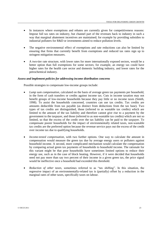- In instances where exemptions and rebates are currently given for competitiveness reasons: Impose full tax rates on industry, but channel part of the revenues back to industry in such a way that marginal abatement incentives are maintained; for example by providing subsidies to industrial polluters for R&D or investments aimed to reduce pollution levels.
- The negative environmental effect of exemptions and rate reductions can also be limited by ensuring that firms that currently benefit from exemptions and reduced tax rates sign up to stringent mitigation measures.
- A two-tier rate structure, with lower rates for more internationally exposed sectors, would be a better option than full exemptions for some sectors; for example, an energy tax could have higher rates for the health care sector and domestic building industry, and lower rates for the petrochemical industry.

#### *Assess and implement policies for addressing income distribution concerns*

Possible strategies to compensate low-income groups include:

- *Lump sum compensation,* calculated on the basis of average green tax payments per household, in the form of cash transfers or credits against income tax. Cuts in income taxation may not benefit groups of low-income households because they pay little or no income taxes (Smith, 1998). To assist the households concerned, countries can use tax credits. Tax credits are amounts deductible from tax payable (as distinct from deductions from the tax base). Two types of tax credits are distinguished, those (referred to as wastable tax credits) which are limited to the amount of the tax liability and therefore cannot give rise to a payment by the government to the taxpayer, and those (referred to as non-wastable tax credits) which are not so limited, so that the excess of the credit over the tax liability can be paid to the taxpayer. To compensate poorer households for the impact of environmentally related taxes, non-wastable tax credits are the preferred option because the revenue service pays out the excess of the credit over income tax due to qualifying households.
- *Income-tested compensation,* with two further options. One way to calculate the amount in compensation would measure the green tax due by average energy users or polluters against household income. A second, more complicated mechanism would calculate the compensation by comparing actual green tax payments of households to household income. The rationale for this variant might be that poor households have sometimes limited options to reduce their energy use, such as in the case of block heating. However, if it were decided that households need not pay more than say two percent of their income in a given green tax, the price signal would be ineffective once a household had exceeded this threshold.
- *Reduction of other taxes,* sometimes referred to as "tax shifting". In this situation, the regressive impact of an environmentally-related tax is (partially) offset by a reduction in the marginal rates of other taxes, specifically taxes on labour.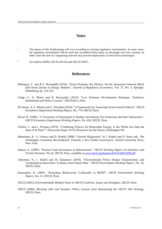#### **Notes**

<sup>1</sup> The nature of this disadvantage will vary according to existing regulatory environments. In some cases, the regulatory environment will be such that incumbent firms enjoy an advantage over new entrants. In other cases the lack of a supporting network may prevent deployment of innovative technologies.

2 See Inderst (2009), OECD (2011b) and OECD (2007).

#### **References**

- Böhringer, C. and K.E. Rosendahl (2010), "Green Promotes the Dirtiest: On the Interaction between Black and Green Quotas in Energy Markets", *Journal of Regulatory Economics*, Vol. 37, No. 3, Springer, Heidelberg, pp. 316-325.
- Clapp, C., G. Briner and K. Karousakis (2010), "Low Emission Development Strategies: Technical, Institutional and Policy Lessons", OECD/IEA, Paris.
- De Serres, A, F. Murtin and G. Nicoletti (2010), "A Framework for Assessing Green Growth Policies", *OECD Economics Department Working Papers*, No. 774, OECD, Paris.
- Duval, R. (2008), "A Taxonomy of Instruments to Reduce Greenhouse Gas Emissions and their Interactions", *OECD Economics Department Working Papers*, No. 636, OECD, Paris.
- Fischer, C. and L. Preonas (2010), "Combining Policies for Renewable Energy: Is the Whole less than the Sum of its Parts?", *Discussion Paper* 10-19, Resources for the Future, Washington DC.
- Hausmann, R., A. Velasco and D. Rodrik (2008), "Growth Diagnostics" in J. Stiglitz and N. Serra, eds., *The Washington Consensus Reconsidered: Towards a New Global Governance*, Oxford University Press, New York.
- Inderst, G. (2009), "Pension Fund Investment in Infrastructure", *OECD Working Papers on Insurance and Private Pensions*, No.32, OECD, Paris, available at [www.oecd.org/dataoecd/41/9/42052208.pdf.](http://www.oecd.org/dataoecd/41/9/42052208.pdf)
- Johnstone, N., I. Haščič and M. Kalamova (2010), "Environmental Policy Design Characteristics and Technological Innovation: Evidence from Patent Data", *OECD Environment Working Papers,* No. 16, OECD, Paris.
- Karousakis, K. (2009), "Promoting Biodiversity Co-Benefits in REDD", *OECD Environment Working Papers*, No. 11, OECD, Paris.
- OECD (2001), *Environmentally Related Taxes in OECD Countries. Issues and Strategies*, OECD, Paris.
- OECD (2006), *Boosting Jobs and Incomes: Policy Lessons from Reassessing the OECD Jobs Strategy*, OECD, Paris.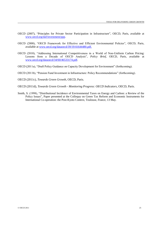- OECD (2007), "Principles for Private Sector Participation in Infrastructure", OECD, Paris, available at [www.oecd.org/daf/investment/ppp.](http://www.oecd.org/daf/investment/ppp)
- OECD (2008), "OECD Framework for Effective and Efficient Environmental Policies", OECD, Paris, available at [www.oecd.org/dataoecd/39/19/41644480.pdf.](http://www.oecd.org/dataoecd/39/19/41644480.pdf)
- OECD (2010), "Addressing International Competitiveness in a World of Non-Uniform Carbon Pricing: Lessons from a Decade of OECD Analysis", *Policy Brief*, OECD, Paris, available at [www.oecd.org/dataoecd/34/60/46533174.pdf.](http://www.oecd.org/dataoecd/34/60/46533174.pdf)
- OECD (2011a), "Draft Policy Guidance on Capacity Development for Environment" (forthcoming).
- OECD (2011b), "Pension Fund Investment in Infrastructure: Policy Recommendations" (forthcoming).

OECD (2011c), *Towards Green Growth*, OECD, Paris.

- OECD (2011d), *Towards Green Growth - Monitoring Progress: OECD Indicators*, OECD, Paris.
- Smith, S. (1998), "Distributional Incidence of Environmental Taxes on Energy and Carbon: a Review of the Policy Issues", Paper presented at the Colloquy on Green Tax Reform and Economic Instruments for International Co-operation: the Post-Kyoto Context, Toulouse, France, 13 May.